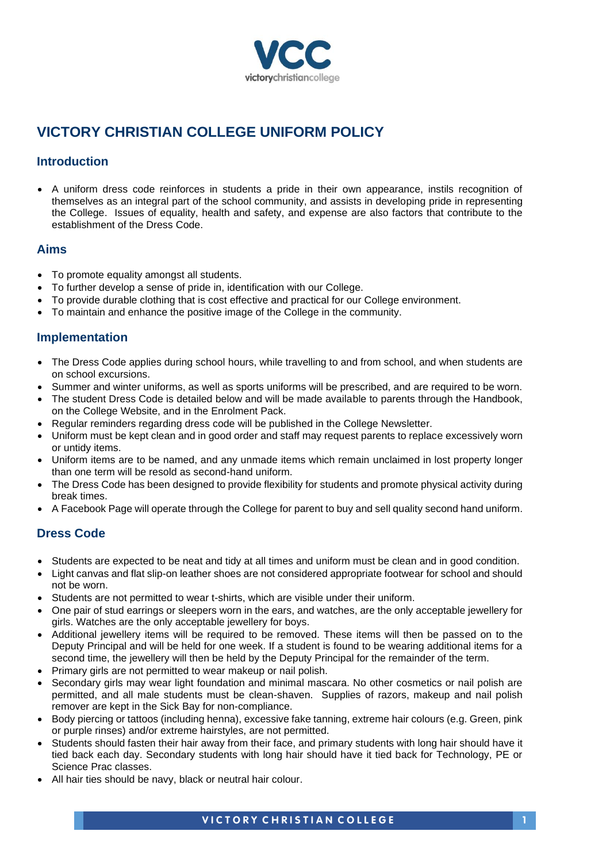

# **VICTORY CHRISTIAN COLLEGE UNIFORM POLICY**

### **Introduction**

• A uniform dress code reinforces in students a pride in their own appearance, instils recognition of themselves as an integral part of the school community, and assists in developing pride in representing the College. Issues of equality, health and safety, and expense are also factors that contribute to the establishment of the Dress Code.

#### **Aims**

- To promote equality amongst all students.
- To further develop a sense of pride in, identification with our College.
- To provide durable clothing that is cost effective and practical for our College environment.
- To maintain and enhance the positive image of the College in the community.

#### **Implementation**

- The Dress Code applies during school hours, while travelling to and from school, and when students are on school excursions.
- Summer and winter uniforms, as well as sports uniforms will be prescribed, and are required to be worn.
- The student Dress Code is detailed below and will be made available to parents through the Handbook. on the College Website, and in the Enrolment Pack.
- Regular reminders regarding dress code will be published in the College Newsletter.
- Uniform must be kept clean and in good order and staff may request parents to replace excessively worn or untidy items.
- Uniform items are to be named, and any unmade items which remain unclaimed in lost property longer than one term will be resold as second-hand uniform.
- The Dress Code has been designed to provide flexibility for students and promote physical activity during break times.
- A Facebook Page will operate through the College for parent to buy and sell quality second hand uniform.

#### **Dress Code**

- Students are expected to be neat and tidy at all times and uniform must be clean and in good condition.
- Light canvas and flat slip-on leather shoes are not considered appropriate footwear for school and should not be worn.
- Students are not permitted to wear t-shirts, which are visible under their uniform.
- One pair of stud earrings or sleepers worn in the ears, and watches, are the only acceptable jewellery for girls. Watches are the only acceptable jewellery for boys.
- Additional jewellery items will be required to be removed. These items will then be passed on to the Deputy Principal and will be held for one week. If a student is found to be wearing additional items for a second time, the jewellery will then be held by the Deputy Principal for the remainder of the term.
- Primary girls are not permitted to wear makeup or nail polish.
- Secondary girls may wear light foundation and minimal mascara. No other cosmetics or nail polish are permitted, and all male students must be clean-shaven. Supplies of razors, makeup and nail polish remover are kept in the Sick Bay for non-compliance.
- Body piercing or tattoos (including henna), excessive fake tanning, extreme hair colours (e.g. Green, pink or purple rinses) and/or extreme hairstyles, are not permitted.
- Students should fasten their hair away from their face, and primary students with long hair should have it tied back each day. Secondary students with long hair should have it tied back for Technology, PE or Science Prac classes.
- All hair ties should be navy, black or neutral hair colour.

**VICTORY CHRISTIAN COLLEGE**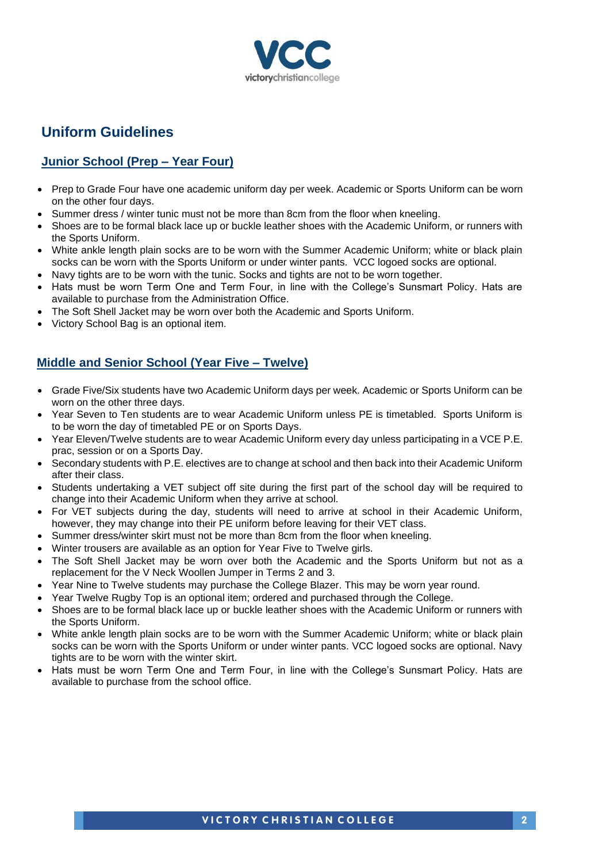

# **Uniform Guidelines**

# **Junior School (Prep – Year Four)**

- Prep to Grade Four have one academic uniform day per week. Academic or Sports Uniform can be worn on the other four days.
- Summer dress / winter tunic must not be more than 8cm from the floor when kneeling.
- Shoes are to be formal black lace up or buckle leather shoes with the Academic Uniform, or runners with the Sports Uniform.
- White ankle length plain socks are to be worn with the Summer Academic Uniform; white or black plain socks can be worn with the Sports Uniform or under winter pants. VCC logoed socks are optional.
- Navy tights are to be worn with the tunic. Socks and tights are not to be worn together.
- Hats must be worn Term One and Term Four, in line with the College's Sunsmart Policy. Hats are available to purchase from the Administration Office.
- The Soft Shell Jacket may be worn over both the Academic and Sports Uniform.
- Victory School Bag is an optional item.

# **Middle and Senior School (Year Five – Twelve)**

- Grade Five/Six students have two Academic Uniform days per week. Academic or Sports Uniform can be worn on the other three days.
- Year Seven to Ten students are to wear Academic Uniform unless PE is timetabled. Sports Uniform is to be worn the day of timetabled PE or on Sports Days.
- Year Eleven/Twelve students are to wear Academic Uniform every day unless participating in a VCE P.E. prac, session or on a Sports Day.
- Secondary students with P.E. electives are to change at school and then back into their Academic Uniform after their class.
- Students undertaking a VET subject off site during the first part of the school day will be required to change into their Academic Uniform when they arrive at school.
- For VET subjects during the day, students will need to arrive at school in their Academic Uniform, however, they may change into their PE uniform before leaving for their VET class.
- Summer dress/winter skirt must not be more than 8cm from the floor when kneeling.
- Winter trousers are available as an option for Year Five to Twelve girls.
- The Soft Shell Jacket may be worn over both the Academic and the Sports Uniform but not as a replacement for the V Neck Woollen Jumper in Terms 2 and 3.
- Year Nine to Twelve students may purchase the College Blazer. This may be worn year round.
- Year Twelve Rugby Top is an optional item; ordered and purchased through the College.
- Shoes are to be formal black lace up or buckle leather shoes with the Academic Uniform or runners with the Sports Uniform.
- White ankle length plain socks are to be worn with the Summer Academic Uniform; white or black plain socks can be worn with the Sports Uniform or under winter pants. VCC logoed socks are optional. Navy tights are to be worn with the winter skirt.
- Hats must be worn Term One and Term Four, in line with the College's Sunsmart Policy. Hats are available to purchase from the school office.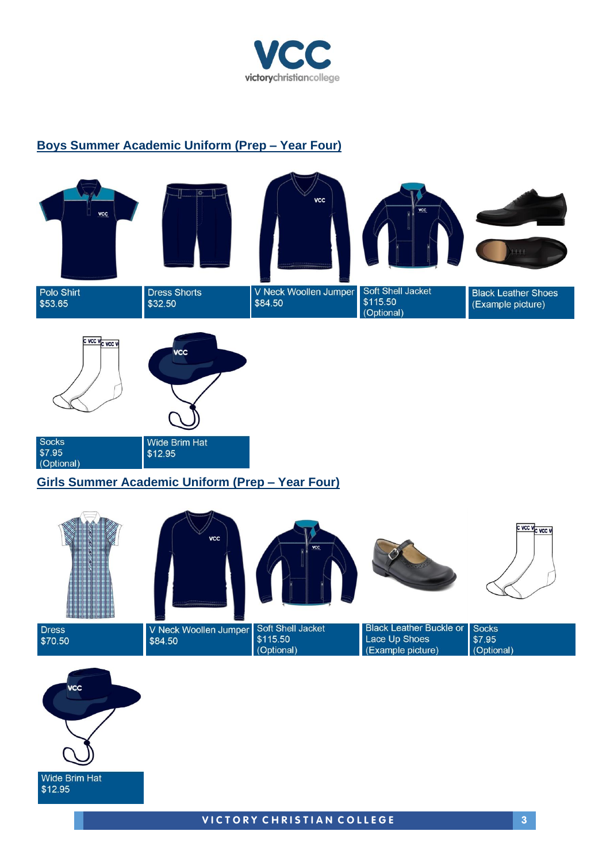

### **Boys Summer Academic Uniform (Prep – Year Four)**

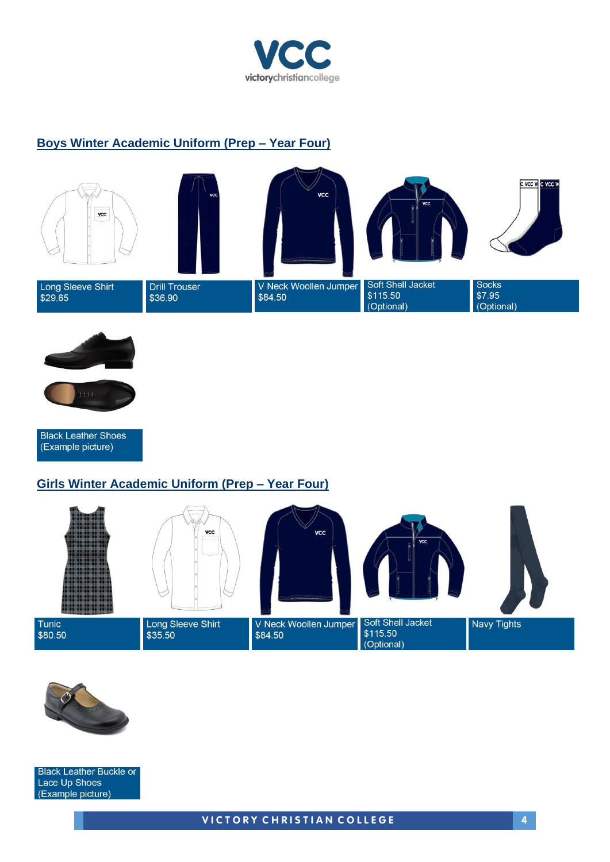

### **Boys Winter Academic Uniform (Prep – Year Four)**





**Black Leather Shoes** (Example picture)

#### **Girls Winter Academic Uniform (Prep – Year Four)**





**Black Leather Buckle or** Lace Up Shoes (Example picture)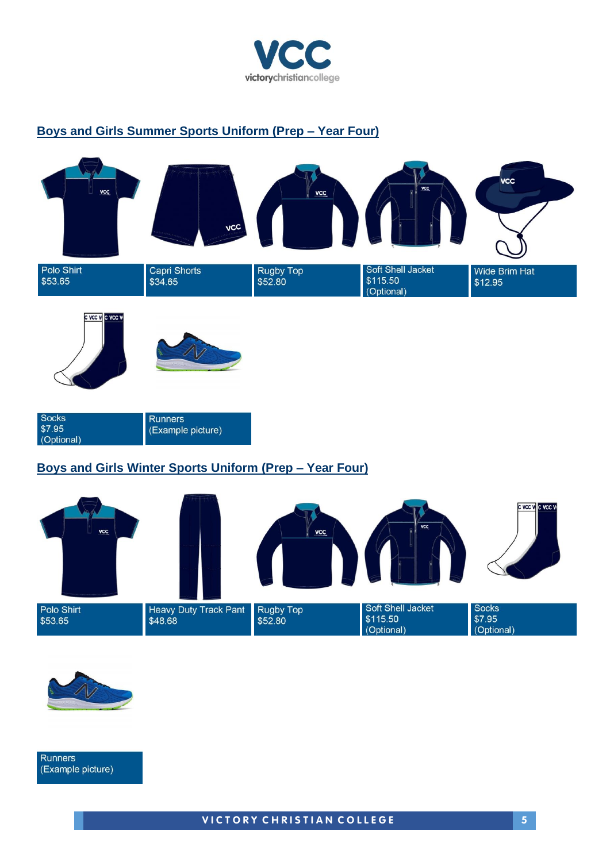

# **Boys and Girls Summer Sports Uniform (Prep – Year Four)**



| <b>Socks</b> | <b>Runners</b>    |
|--------------|-------------------|
| \$7.95       | (Example picture) |
| (Optional)   |                   |

# **Boys and Girls Winter Sports Uniform (Prep – Year Four)**





**Runners** (Example picture)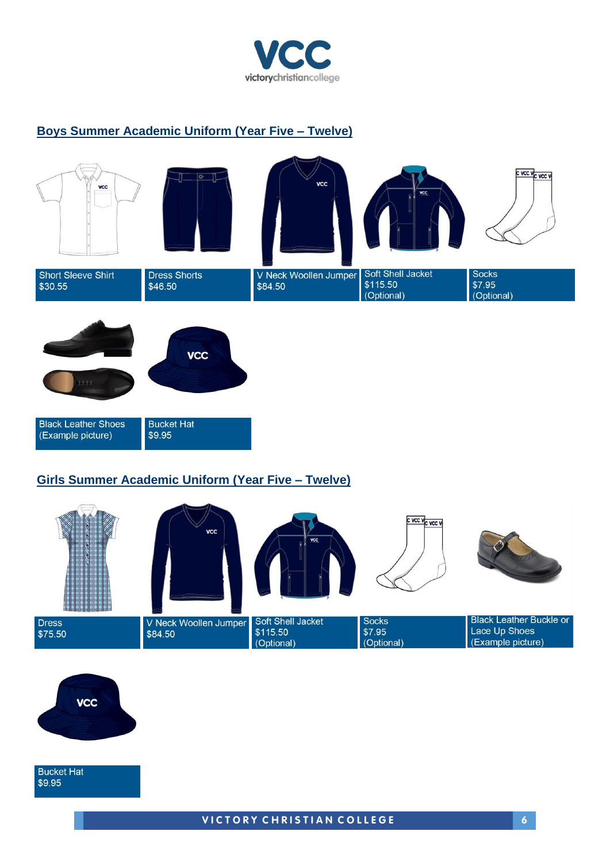

#### **Boys Summer Academic Uniform (Year Five – Twelve)**





#### **Girls Summer Academic Uniform (Year Five – Twelve)**





**Bucket Hat** \$9.95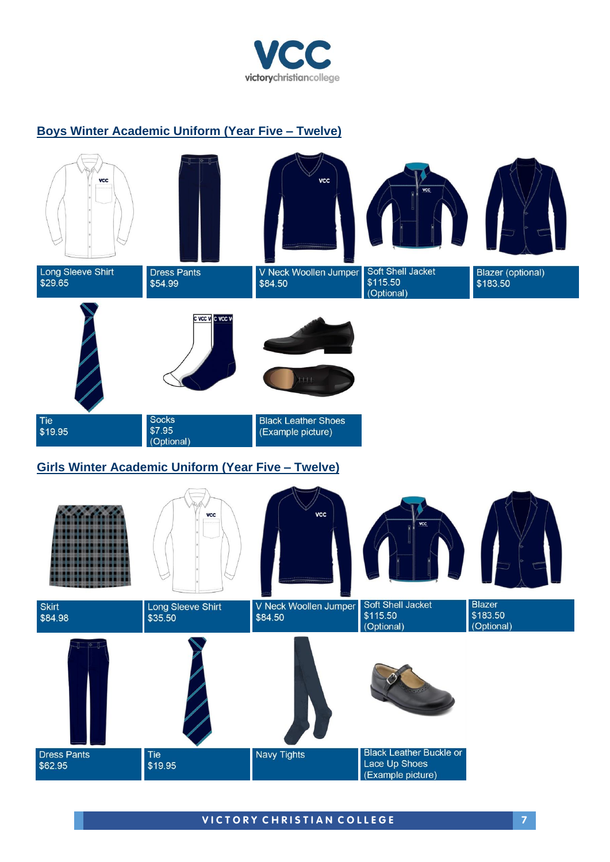

#### **Boys Winter Academic Uniform (Year Five – Twelve)**